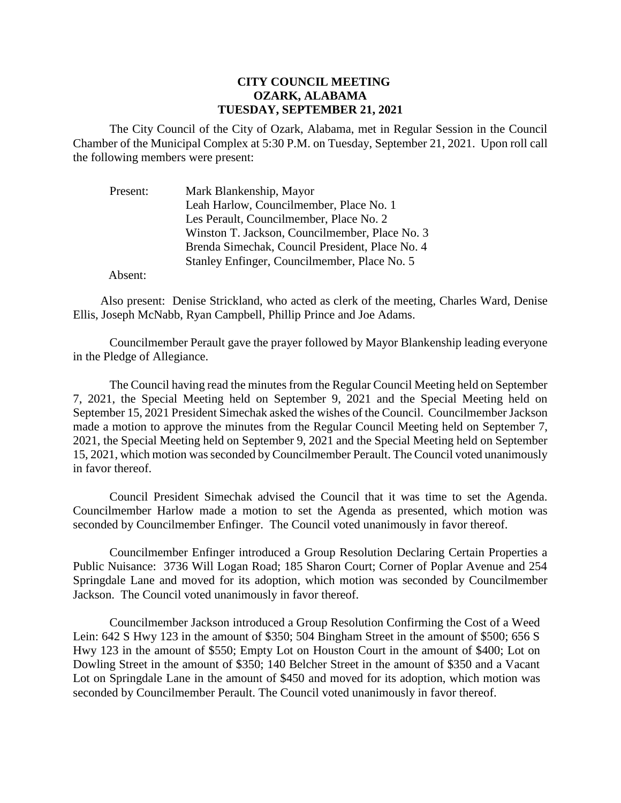## **CITY COUNCIL MEETING OZARK, ALABAMA TUESDAY, SEPTEMBER 21, 2021**

The City Council of the City of Ozark, Alabama, met in Regular Session in the Council Chamber of the Municipal Complex at 5:30 P.M. on Tuesday, September 21, 2021. Upon roll call the following members were present:

| Present: | Mark Blankenship, Mayor                         |
|----------|-------------------------------------------------|
|          | Leah Harlow, Councilmember, Place No. 1         |
|          | Les Perault, Councilmember, Place No. 2         |
|          | Winston T. Jackson, Councilmember, Place No. 3  |
|          | Brenda Simechak, Council President, Place No. 4 |
|          | Stanley Enfinger, Councilmember, Place No. 5    |
|          |                                                 |

Absent:

Also present: Denise Strickland, who acted as clerk of the meeting, Charles Ward, Denise Ellis, Joseph McNabb, Ryan Campbell, Phillip Prince and Joe Adams.

Councilmember Perault gave the prayer followed by Mayor Blankenship leading everyone in the Pledge of Allegiance.

The Council having read the minutes from the Regular Council Meeting held on September 7, 2021, the Special Meeting held on September 9, 2021 and the Special Meeting held on September 15, 2021 President Simechak asked the wishes of the Council. Councilmember Jackson made a motion to approve the minutes from the Regular Council Meeting held on September 7, 2021, the Special Meeting held on September 9, 2021 and the Special Meeting held on September 15, 2021, which motion was seconded by Councilmember Perault. The Council voted unanimously in favor thereof.

Council President Simechak advised the Council that it was time to set the Agenda. Councilmember Harlow made a motion to set the Agenda as presented, which motion was seconded by Councilmember Enfinger. The Council voted unanimously in favor thereof.

Councilmember Enfinger introduced a Group Resolution Declaring Certain Properties a Public Nuisance: 3736 Will Logan Road; 185 Sharon Court; Corner of Poplar Avenue and 254 Springdale Lane and moved for its adoption, which motion was seconded by Councilmember Jackson. The Council voted unanimously in favor thereof.

Councilmember Jackson introduced a Group Resolution Confirming the Cost of a Weed Lein: 642 S Hwy 123 in the amount of \$350; 504 Bingham Street in the amount of \$500; 656 S Hwy 123 in the amount of \$550; Empty Lot on Houston Court in the amount of \$400; Lot on Dowling Street in the amount of \$350; 140 Belcher Street in the amount of \$350 and a Vacant Lot on Springdale Lane in the amount of \$450 and moved for its adoption, which motion was seconded by Councilmember Perault. The Council voted unanimously in favor thereof.